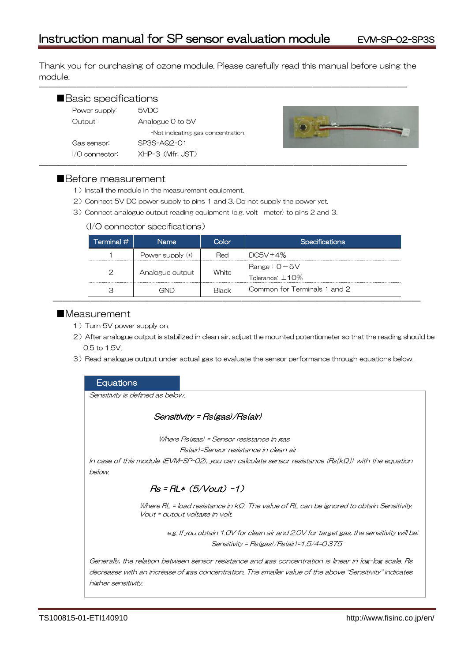Thank you for purchasing of ozone module. Please carefully read this manual before using the module.

―――――――――――――――――――――――――――――――――――――――

| Basic specifications<br>Power supply: | 5VDC                               |  |
|---------------------------------------|------------------------------------|--|
| Output:                               | Analogue 0 to 5V                   |  |
|                                       | *Not indicating gas concentration. |  |
| Gas sensor:                           | SP3S-AQ2-01                        |  |
| $1/O$ connector:                      | XHP-3 (Mfr: JST)                   |  |



# ■Before measurement

- 1) Install the module in the measurement equipment.
- 2)Connect 5V DC power supply to pins 1 and 3. Do not supply the power yet.
- 3)Connect analogue output reading equipment (e.g. volt meter) to pins 2 and 3.

#### (I/O connector specifications)

| Terminal #    | <b>Name</b>        | Color | <b>Specifications</b>                   |
|---------------|--------------------|-------|-----------------------------------------|
|               | Power supply $(+)$ | Red   | DC5V±4%                                 |
| $\mathcal{P}$ | Analogue output    | White | Range: $0 - 5V$<br>Tolerance: $\pm$ 10% |
| З             | GND                | Black | Common for Terminals 1 and 2            |

# ■Measurement

- 1) Turn 5V power supply on.
- 2) After analogue output is stabilized in clean air, adjust the mounted potentiometer so that the reading should be 0.5 to 1.5V.
- 3) Read analogue output under actual gas to evaluate the sensor performance through equations below.

# **Equations**

Sensitivity is defined as below.

# Sensitivity = Rs(gas)/Rs(air)

Where Rs(gas) = Sensor resistance in gas

Rs(air)=Sensor resistance in clean air

In case of this module (EVM-SP-02), you can calculate sensor resistance (Rs[kΩ]) with the equation below.

# $Rs = RL * (5/Vout) -1)$

Where RL = load resistance in kΩ. The value of RL can be ignored to obtain Sensitivity. Vout = output voltage in volt.

> e.g. If you obtain 1.0V for clean air and 2.0V for target gas, the sensitivity will be: Sensitivity = Rs(gas)/Rs(air)=1.5/4=0.375

Generally, the relation between sensor resistance and gas concentration is linear in log-log scale. Rs decreases with an increase of gas concentration. The smaller value of the above "Sensitivity" indicates higher sensitivity.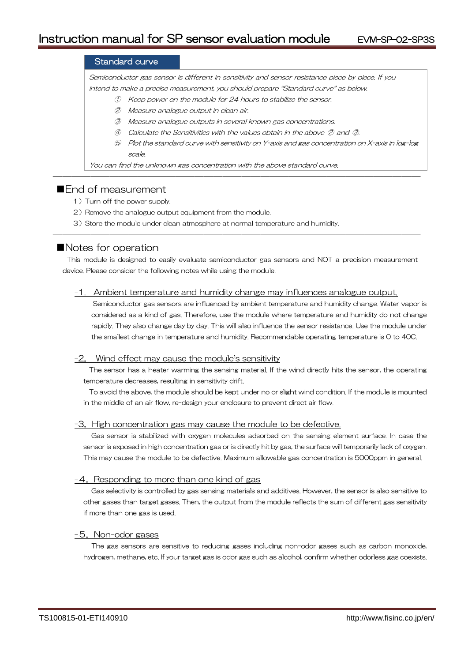## Standard curve

Semiconductor gas sensor is different in sensitivity and sensor resistance piece by piece. If you intend to make a precise measurement, you should prepare "Standard curve" as below.

- ① Keep power on the module for 24 hours to stabilize the sensor.
- ② Measure analogue output in clean air.
- ③ Measure analogue outputs in several known gas concentrations.
- ④ Calculate the Sensitivities with the values obtain in the above ② and ③.

―――――――――――――――――――――――――――――――――――――――

⑤ Plot the standard curve with sensitivity on Y-axis and gas concentration on X-axis in log-log scale.

You can find the unknown gas concentration with the above standard curve.

# ■**Fnd of measurement**

- 1) Turn off the power supply.
- 2) Remove the analogue output equipment from the module.
- 3)Store the module under clean atmosphere at normal temperature and humidity.

# ■Notes for operation

This module is designed to easily evaluate semiconductor gas sensors and NOT a precision measurement device. Please consider the following notes while using the module.

―――――――――――――――――――――――――――――――――――――――

#### -1. Ambient temperature and humidity change may influences analogue output.

Semiconductor gas sensors are influenced by ambient temperature and humidity change. Water vapor is considered as a kind of gas. Therefore, use the module where temperature and humidity do not change rapidly. They also change day by day. This will also influence the sensor resistance. Use the module under the smallest change in temperature and humidity. Recommendable operating temperature is 0 to 40C.

#### -2. Wind effect may cause the module's sensitivity

The sensor has a heater warming the sensing material. If the wind directly hits the sensor, the operating temperature decreases, resulting in sensitivity drift.

To avoid the above, the module should be kept under no or slight wind condition. If the module is mounted in the middle of an air flow, re-design your enclosure to prevent direct air flow.

#### -3.High concentration gas may cause the module to be defective.

Gas sensor is stabilized with oxygen molecules adsorbed on the sensing element surface. In case the sensor is exposed in high concentration gas or is directly hit by gas, the surface will temporarily lack of oxygen. This may cause the module to be defective. Maximum allowable gas concentration is 5000ppm in general.

#### -4. Responding to more than one kind of gas

Gas selectivity is controlled by gas sensing materials and additives. However, the sensor is also sensitive to other gases than target gases. Then, the output from the module reflects the sum of different gas sensitivity if more than one gas is used.

#### -5.Non-odor gases

The gas sensors are sensitive to reducing gases including non-odor gases such as carbon monoxide, hydrogen, methane, etc. If your target gas is odor gas such as alcohol, confirm whether odorless gas coexists.